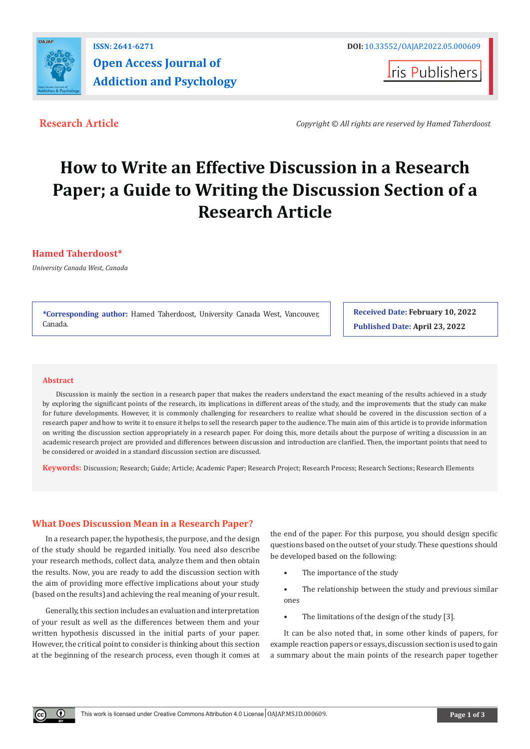

**Iris Publishers** 

**Research Article** *Copyright © All rights are reserved by Hamed Taherdoost*

# **How to Write an Effective Discussion in a Research Paper; a Guide to Writing the Discussion Section of a Research Article**

## **Hamed Taherdoost\***

*University Canada West, Canada*

**\*Corresponding author:** Hamed Taherdoost, University Canada West, Vancouver, Canada.

**Received Date: February 10, 2022 Published Date: April 23, 2022**

#### **Abstract**

 $^{\circ}$ 

Discussion is mainly the section in a research paper that makes the readers understand the exact meaning of the results achieved in a study by exploring the significant points of the research, its implications in different areas of the study, and the improvements that the study can make for future developments. However, it is commonly challenging for researchers to realize what should be covered in the discussion section of a research paper and how to write it to ensure it helps to sell the research paper to the audience. The main aim of this article is to provide information on writing the discussion section appropriately in a research paper. For doing this, more details about the purpose of writing a discussion in an academic research project are provided and differences between discussion and introduction are clarified. Then, the important points that need to be considered or avoided in a standard discussion section are discussed.

**Keywords:** Discussion; Research; Guide; Article; Academic Paper; Research Project; Research Process; Research Sections; Research Elements

## **What Does Discussion Mean in a Research Paper?**

In a research paper, the hypothesis, the purpose, and the design of the study should be regarded initially. You need also describe your research methods, collect data, analyze them and then obtain the results. Now, you are ready to add the discussion section with the aim of providing more effective implications about your study (based on the results) and achieving the real meaning of your result.

Generally, this section includes an evaluation and interpretation of your result as well as the differences between them and your written hypothesis discussed in the initial parts of your paper. However, the critical point to consider is thinking about this section at the beginning of the research process, even though it comes at the end of the paper. For this purpose, you should design specific questions based on the outset of your study. These questions should be developed based on the following:

- The importance of the study
- The relationship between the study and previous similar ones
- The limitations of the design of the study [3].

It can be also noted that, in some other kinds of papers, for example reaction papers or essays, discussion section is used to gain a summary about the main points of the research paper together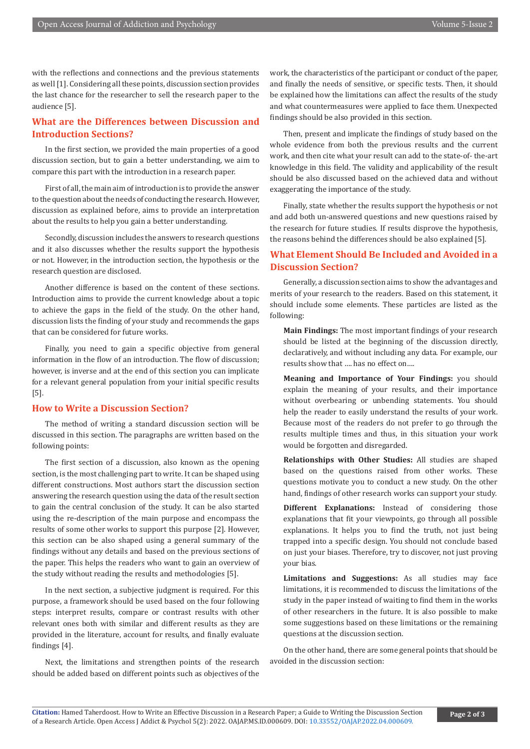with the reflections and connections and the previous statements as well [1]. Considering all these points, discussion section provides the last chance for the researcher to sell the research paper to the audience [5].

# **What are the Differences between Discussion and Introduction Sections?**

In the first section, we provided the main properties of a good discussion section, but to gain a better understanding, we aim to compare this part with the introduction in a research paper.

First of all, the main aim of introduction is to provide the answer to the question about the needs of conducting the research. However, discussion as explained before, aims to provide an interpretation about the results to help you gain a better understanding.

Secondly, discussion includes the answers to research questions and it also discusses whether the results support the hypothesis or not. However, in the introduction section, the hypothesis or the research question are disclosed.

Another difference is based on the content of these sections. Introduction aims to provide the current knowledge about a topic to achieve the gaps in the field of the study. On the other hand, discussion lists the finding of your study and recommends the gaps that can be considered for future works.

Finally, you need to gain a specific objective from general information in the flow of an introduction. The flow of discussion; however, is inverse and at the end of this section you can implicate for a relevant general population from your initial specific results [5].

## **How to Write a Discussion Section?**

The method of writing a standard discussion section will be discussed in this section. The paragraphs are written based on the following points:

The first section of a discussion, also known as the opening section, is the most challenging part to write. It can be shaped using different constructions. Most authors start the discussion section answering the research question using the data of the result section to gain the central conclusion of the study. It can be also started using the re-description of the main purpose and encompass the results of some other works to support this purpose [2]. However, this section can be also shaped using a general summary of the findings without any details and based on the previous sections of the paper. This helps the readers who want to gain an overview of the study without reading the results and methodologies [5].

In the next section, a subjective judgment is required. For this purpose, a framework should be used based on the four following steps: interpret results, compare or contrast results with other relevant ones both with similar and different results as they are provided in the literature, account for results, and finally evaluate findings [4].

Next, the limitations and strengthen points of the research should be added based on different points such as objectives of the

work, the characteristics of the participant or conduct of the paper, and finally the needs of sensitive, or specific tests. Then, it should be explained how the limitations can affect the results of the study and what countermeasures were applied to face them. Unexpected findings should be also provided in this section.

Then, present and implicate the findings of study based on the whole evidence from both the previous results and the current work, and then cite what your result can add to the state-of- the-art knowledge in this field. The validity and applicability of the result should be also discussed based on the achieved data and without exaggerating the importance of the study.

Finally, state whether the results support the hypothesis or not and add both un-answered questions and new questions raised by the research for future studies. If results disprove the hypothesis, the reasons behind the differences should be also explained [5].

## **What Element Should Be Included and Avoided in a Discussion Section?**

Generally, a discussion section aims to show the advantages and merits of your research to the readers. Based on this statement, it should include some elements. These particles are listed as the following:

**Main Findings:** The most important findings of your research should be listed at the beginning of the discussion directly, declaratively, and without including any data. For example, our results show that …. has no effect on….

**Meaning and Importance of Your Findings:** you should explain the meaning of your results, and their importance without overbearing or unbending statements. You should help the reader to easily understand the results of your work. Because most of the readers do not prefer to go through the results multiple times and thus, in this situation your work would be forgotten and disregarded.

**Relationships with Other Studies:** All studies are shaped based on the questions raised from other works. These questions motivate you to conduct a new study. On the other hand, findings of other research works can support your study.

**Different Explanations:** Instead of considering those explanations that fit your viewpoints, go through all possible explanations. It helps you to find the truth, not just being trapped into a specific design. You should not conclude based on just your biases. Therefore, try to discover, not just proving your bias.

**Limitations and Suggestions:** As all studies may face limitations, it is recommended to discuss the limitations of the study in the paper instead of waiting to find them in the works of other researchers in the future. It is also possible to make some suggestions based on these limitations or the remaining questions at the discussion section.

On the other hand, there are some general points that should be avoided in the discussion section: